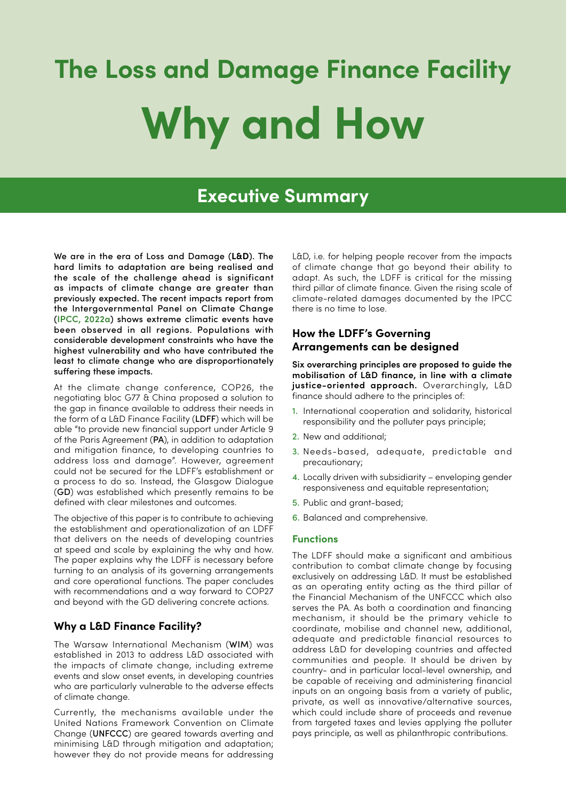# **The Loss and Damage Finance Facility Why and How**

# **Executive Summary**

We are in the era of Loss and Damage (**L&D**). The hard limits to adaptation are being realised and the scale of the challenge ahead is significant as impacts of climate change are greater than previously expected. The recent impacts report from the Intergovernmental Panel on Climate Change (**[IPCC, 2022a](https://www.ipcc.ch/report/ar6/wg2/downloads/report/IPCC_AR6_WGII_FinalDraft_FullReport.pdf)**) shows extreme climatic events have been observed in all regions. Populations with considerable development constraints who have the highest vulnerability and who have contributed the least to climate change who are disproportionately suffering these impacts.

At the climate change conference, COP26, the negotiating bloc G77 & China proposed a solution to the gap in finance available to address their needs in the form of a L&D Finance Facility (LDFF) which will be able "to provide new financial support under Article 9 of the Paris Agreement (PA), in addition to adaptation and mitigation finance, to developing countries to address loss and damage". However, agreement could not be secured for the LDFF's establishment or a process to do so. Instead, the Glasgow Dialogue (GD) was established which presently remains to be defined with clear milestones and outcomes.

The objective of this paper is to contribute to achieving the establishment and operationalization of an LDFF that delivers on the needs of developing countries at speed and scale by explaining the why and how. The paper explains why the LDFF is necessary before turning to an analysis of its governing arrangements and core operational functions. The paper concludes with recommendations and a way forward to COP27 and beyond with the GD delivering concrete actions.

# **Why a L&D Finance Facility?**

The Warsaw International Mechanism (WIM) was established in 2013 to address L&D associated with the impacts of climate change, including extreme events and slow onset events, in developing countries who are particularly vulnerable to the adverse effects of climate change.

Currently, the mechanisms available under the United Nations Framework Convention on Climate Change (UNFCCC) are geared towards averting and minimising L&D through mitigation and adaptation; however they do not provide means for addressing L&D, i.e. for helping people recover from the impacts of climate change that go beyond their ability to adapt. As such, the LDFF is critical for the missing third pillar of climate finance. Given the rising scale of climate-related damages documented by the IPCC there is no time to lose.

# **How the LDFF's Governing Arrangements can be designed**

**Six overarching principles are proposed to guide the mobilisation of L&D finance, in line with a climate justice-oriented approach.** Overarchingly, L&D finance should adhere to the principles of:

- 1. International cooperation and solidarity, historical responsibility and the polluter pays principle;
- 2. New and additional;
- 3. Needs-based, adequate, predictable and precautionary;
- 4. Locally driven with subsidiarity enveloping gender responsiveness and equitable representation;
- 5. Public and grant-based;
- 6. Balanced and comprehensive.

#### **Functions**

The LDFF should make a significant and ambitious contribution to combat climate change by focusing exclusively on addressing L&D. It must be established as an operating entity acting as the third pillar of the Financial Mechanism of the UNFCCC which also serves the PA. As both a coordination and financing mechanism, it should be the primary vehicle to coordinate, mobilise and channel new, additional, adequate and predictable financial resources to address L&D for developing countries and affected communities and people. It should be driven by country- and in particular local-level ownership, and be capable of receiving and administering financial inputs on an ongoing basis from a variety of public, private, as well as innovative/alternative sources, which could include share of proceeds and revenue from targeted taxes and levies applying the polluter pays principle, as well as philanthropic contributions.